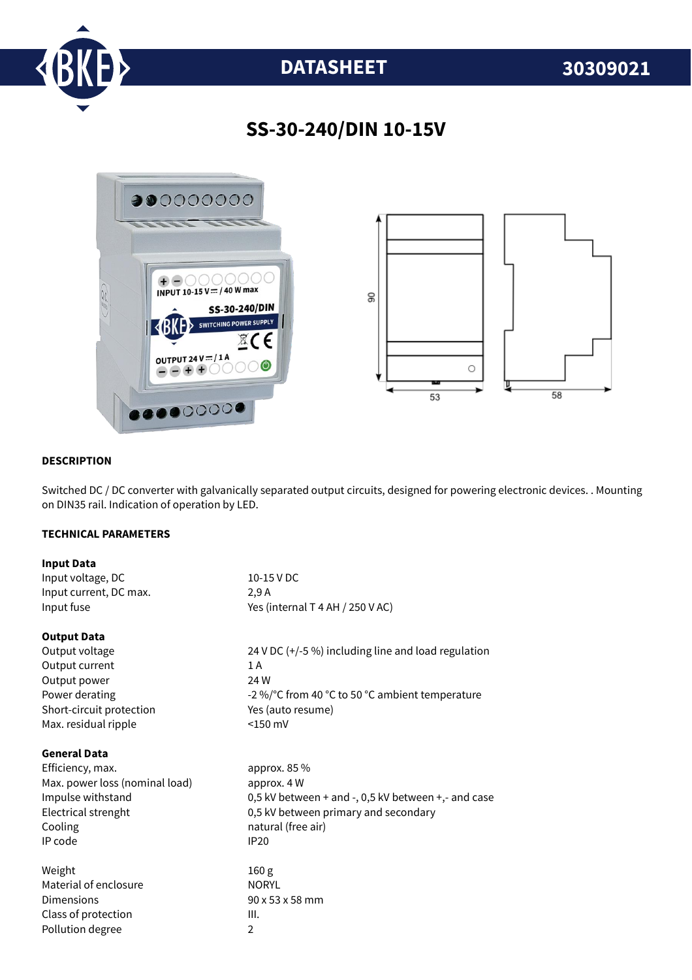

# **DATASHEET 30309021**

## **SS-30-240/DIN 10-15V**



#### **DESCRIPTION**

Switched DC / DC converter with galvanically separated output circuits, designed for powering electronic devices. . Mounting on DIN35 rail. Indication of operation by LED.

#### **TECHNICAL PARAMETERS**

| <b>Input Data</b>              |                                                     |
|--------------------------------|-----------------------------------------------------|
| Input voltage, DC              | 10-15 V DC                                          |
| Input current, DC max.         | 2.9A                                                |
| Input fuse                     | Yes (internal T 4 AH / 250 V AC)                    |
| <b>Output Data</b>             |                                                     |
| Output voltage                 | 24 V DC (+/-5 %) including line and load regulation |
| Output current                 | 1A                                                  |
| Output power                   | 24 W                                                |
| Power derating                 | -2 %/°C from 40 °C to 50 °C ambient temperature     |
| Short-circuit protection       | Yes (auto resume)                                   |
| Max. residual ripple           | $<$ 150 mV                                          |
| <b>General Data</b>            |                                                     |
| Efficiency, max.               | approx. $85\%$                                      |
| Max. power loss (nominal load) | approx. 4 W                                         |
| Impulse withstand              | 0,5 kV between + and -, 0,5 kV between +,- and case |
| Electrical strenght            | 0,5 kV between primary and secondary                |
| Cooling                        | natural (free air)                                  |
| IP code                        | <b>IP20</b>                                         |
| Weight                         | 160 <sub>g</sub>                                    |
| Material of enclosure          | <b>NORYL</b>                                        |
| Dimensions                     | 90 x 53 x 58 mm                                     |
| Class of protection            | III.                                                |
| Pollution degree               | $\overline{2}$                                      |
|                                |                                                     |